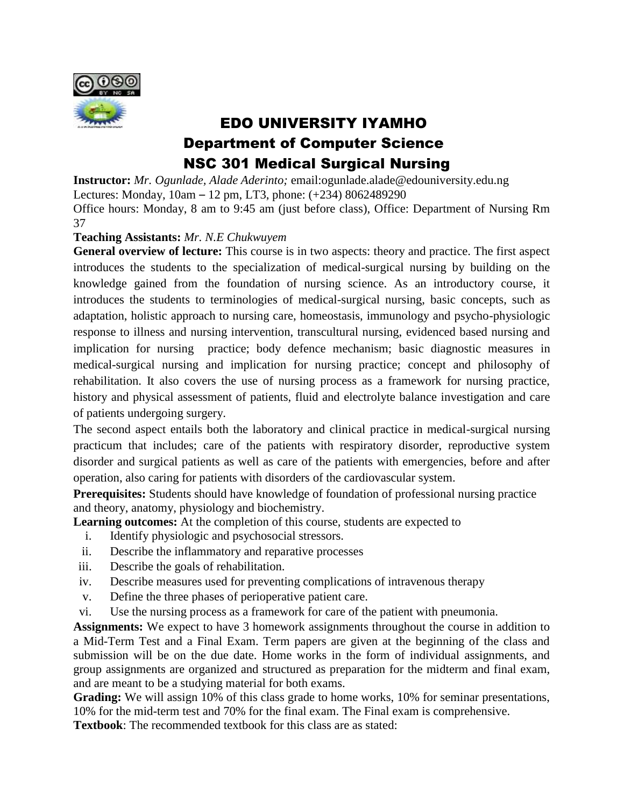

# EDO UNIVERSITY IYAMHO Department of Computer Science NSC 301 Medical Surgical Nursing

**Instructor:** *Mr. Ogunlade, Alade Aderinto;* email:ogunlade.alade@edouniversity.edu.ng Lectures: Monday, 10am – 12 pm, LT3, phone: (+234) 8062489290 Office hours: Monday, 8 am to 9:45 am (just before class), Office: Department of Nursing Rm 37

### **Teaching Assistants:** *Mr. N.E Chukwuyem*

**General overview of lecture:** This course is in two aspects: theory and practice. The first aspect introduces the students to the specialization of medical-surgical nursing by building on the knowledge gained from the foundation of nursing science. As an introductory course, it introduces the students to terminologies of medical-surgical nursing, basic concepts, such as adaptation, holistic approach to nursing care, homeostasis, immunology and psycho-physiologic response to illness and nursing intervention, transcultural nursing, evidenced based nursing and implication for nursing practice; body defence mechanism; basic diagnostic measures in medical-surgical nursing and implication for nursing practice; concept and philosophy of rehabilitation. It also covers the use of nursing process as a framework for nursing practice, history and physical assessment of patients, fluid and electrolyte balance investigation and care of patients undergoing surgery.

The second aspect entails both the laboratory and clinical practice in medical-surgical nursing practicum that includes; care of the patients with respiratory disorder, reproductive system disorder and surgical patients as well as care of the patients with emergencies, before and after operation, also caring for patients with disorders of the cardiovascular system.

**Prerequisites:** Students should have knowledge of foundation of professional nursing practice and theory, anatomy, physiology and biochemistry.

**Learning outcomes:** At the completion of this course, students are expected to

- i. Identify physiologic and psychosocial stressors.
- ii. Describe the inflammatory and reparative processes
- iii. Describe the goals of rehabilitation.
- iv. Describe measures used for preventing complications of intravenous therapy
- v. Define the three phases of perioperative patient care.
- vi. Use the nursing process as a framework for care of the patient with pneumonia.

**Assignments:** We expect to have 3 homework assignments throughout the course in addition to a Mid-Term Test and a Final Exam. Term papers are given at the beginning of the class and submission will be on the due date. Home works in the form of individual assignments, and group assignments are organized and structured as preparation for the midterm and final exam, and are meant to be a studying material for both exams.

Grading: We will assign 10% of this class grade to home works, 10% for seminar presentations, 10% for the mid-term test and 70% for the final exam. The Final exam is comprehensive.

**Textbook**: The recommended textbook for this class are as stated: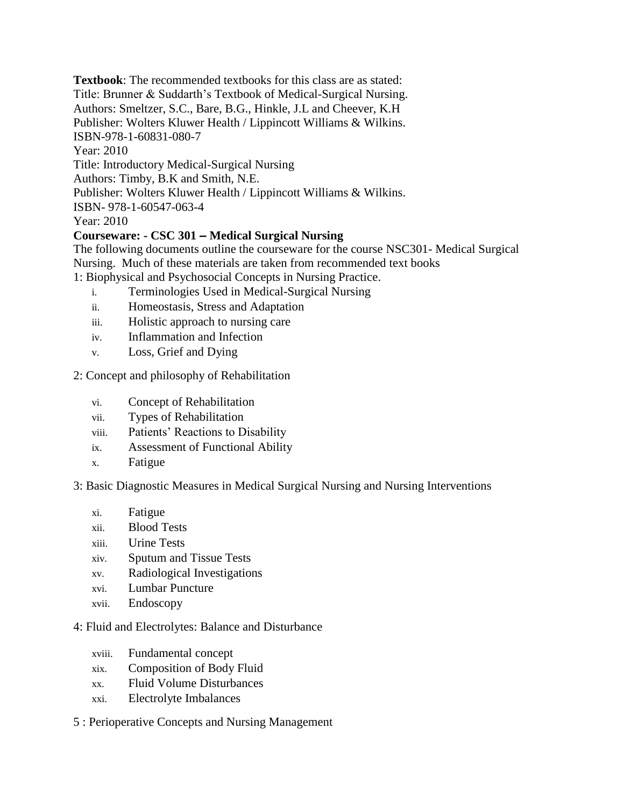**Textbook**: The recommended textbooks for this class are as stated: Title: Brunner & Suddarth's Textbook of Medical-Surgical Nursing. Authors: Smeltzer, S.C., Bare, B.G., Hinkle, J.L and Cheever, K.H Publisher: Wolters Kluwer Health / Lippincott Williams & Wilkins. ISBN-978-1-60831-080-7 Year: 2010 Title: Introductory Medical-Surgical Nursing Authors: Timby, B.K and Smith, N.E. Publisher: Wolters Kluwer Health / Lippincott Williams & Wilkins. ISBN- 978-1-60547-063-4 Year: 2010

## **Courseware: - CSC 301 – Medical Surgical Nursing**

The following documents outline the courseware for the course NSC301- Medical Surgical Nursing. Much of these materials are taken from recommended text books

1: Biophysical and Psychosocial Concepts in Nursing Practice.

- i. Terminologies Used in Medical-Surgical Nursing
- ii. Homeostasis, Stress and Adaptation
- iii. Holistic approach to nursing care
- iv. Inflammation and Infection
- v. Loss, Grief and Dying

### 2: Concept and philosophy of Rehabilitation

- vi. Concept of Rehabilitation
- vii. Types of Rehabilitation
- viii. Patients' Reactions to Disability
- ix. Assessment of Functional Ability
- x. Fatigue

### 3: Basic Diagnostic Measures in Medical Surgical Nursing and Nursing Interventions

- xi. Fatigue
- xii. Blood Tests
- xiii. Urine Tests
- xiv. Sputum and Tissue Tests
- xv. Radiological Investigations
- xvi. Lumbar Puncture
- xvii. Endoscopy

### 4: Fluid and Electrolytes: Balance and Disturbance

- xviii. Fundamental concept
- xix. Composition of Body Fluid
- xx. Fluid Volume Disturbances
- xxi. Electrolyte Imbalances

### 5 : Perioperative Concepts and Nursing Management